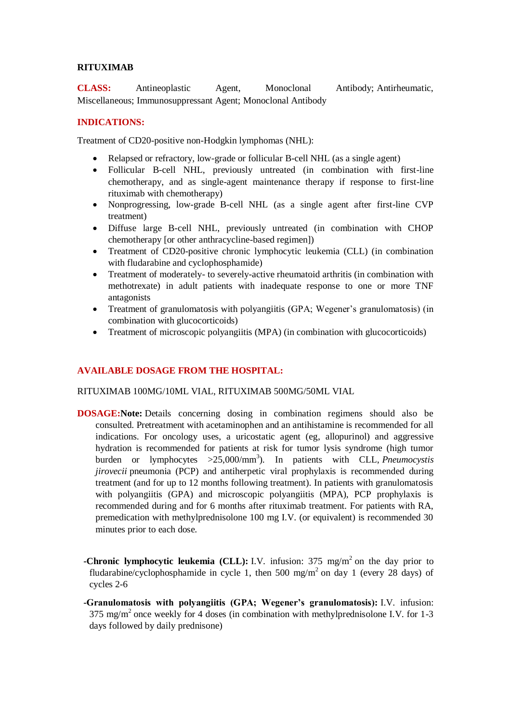## **RITUXIMAB**

**CLASS:** Antineoplastic Agent, Monoclonal Antibody; Antirheumatic, Miscellaneous; Immunosuppressant Agent; Monoclonal Antibody

## **INDICATIONS:**

Treatment of CD20-positive non-Hodgkin lymphomas (NHL):

- Relapsed or refractory, low-grade or follicular B-cell NHL (as a single agent)
- Follicular B-cell NHL, previously untreated (in combination with first-line chemotherapy, and as single-agent maintenance therapy if response to first-line rituximab with chemotherapy)
- Nonprogressing, low-grade B-cell NHL (as a single agent after first-line CVP treatment)
- Diffuse large B-cell NHL, previously untreated (in combination with CHOP chemotherapy [or other anthracycline-based regimen])
- Treatment of CD20-positive chronic lymphocytic leukemia (CLL) (in combination with fludarabine and cyclophosphamide)
- Treatment of moderately- to severely-active rheumatoid arthritis (in combination with methotrexate) in adult patients with inadequate response to one or more TNF antagonists
- Treatment of granulomatosis with polyangiitis (GPA; Wegener's granulomatosis) (in combination with glucocorticoids)
- Treatment of microscopic polyangiitis (MPA) (in combination with glucocorticoids)

# **AVAILABLE DOSAGE FROM THE HOSPITAL:**

#### RITUXIMAB 100MG/10ML VIAL, RITUXIMAB 500MG/50ML VIAL

- **DOSAGE:Note:** Details concerning dosing in combination regimens should also be consulted. Pretreatment with acetaminophen and an antihistamine is recommended for all indications. For oncology uses, a uricostatic agent (eg, allopurinol) and aggressive hydration is recommended for patients at risk for tumor lysis syndrome (high tumor burden or lymphocytes >25,000/mm<sup>3</sup>). In patients with CLL, *Pneumocystis jirovecii* pneumonia (PCP) and antiherpetic viral prophylaxis is recommended during treatment (and for up to 12 months following treatment). In patients with granulomatosis with polyangiitis (GPA) and microscopic polyangiitis (MPA), PCP prophylaxis is recommended during and for 6 months after rituximab treatment. For patients with RA, premedication with methylprednisolone 100 mg I.V. (or equivalent) is recommended 30 minutes prior to each dose.
	- **-Chronic lymphocytic leukemia (CLL):** I.V. infusion:  $375 \text{ mg/m}^2$  on the day prior to fludarabine/cyclophosphamide in cycle 1, then 500 mg/m<sup>2</sup> on day 1 (every 28 days) of cycles 2-6
	- **-Granulomatosis with polyangiitis (GPA; Wegener's granulomatosis):** I.V. infusion: 375 mg/m<sup>2</sup> once weekly for 4 doses (in combination with methylprednisolone I.V. for 1-3 days followed by daily prednisone)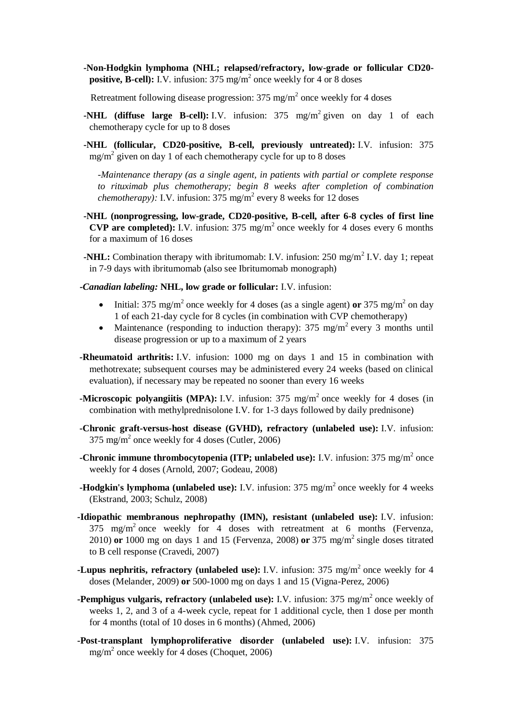**-Non-Hodgkin lymphoma (NHL; relapsed/refractory, low-grade or follicular CD20 positive, B-cell):** I.V. infusion: 375 mg/m<sup>2</sup> once weekly for 4 or 8 doses

Retreatment following disease progression:  $375 \text{ mg/m}^2$  once weekly for 4 doses

- **-NHL** (diffuse large B-cell): I.V. infusion: 375 mg/m<sup>2</sup> given on day 1 of each chemotherapy cycle for up to 8 doses
- **-NHL (follicular, CD20-positive, B-cell, previously untreated):** I.V. infusion: 375  $mg/m<sup>2</sup>$  given on day 1 of each chemotherapy cycle for up to 8 doses

*-Maintenance therapy (as a single agent, in patients with partial or complete response to rituximab plus chemotherapy; begin 8 weeks after completion of combination chemotherapy*): I.V. infusion:  $375 \text{ mg/m}^2$  every 8 weeks for 12 doses

- **-NHL (nonprogressing, low-grade, CD20-positive, B-cell, after 6-8 cycles of first line CVP are completed):** I.V. infusion:  $375 \text{ mg/m}^2$  once weekly for 4 doses every 6 months for a maximum of 16 doses
- **-NHL:** Combination therapy with ibritumomab: I.V. infusion: 250 mg/m<sup>2</sup> I.V. day 1; repeat in 7-9 days with ibritumomab (also see Ibritumomab monograph)
- *-Canadian labeling:* **NHL, low grade or follicular:** I.V. infusion:
	- Initial:  $375 \text{ mg/m}^2$  once weekly for 4 doses (as a single agent) **or**  $375 \text{ mg/m}^2$  on day 1 of each 21-day cycle for 8 cycles (in combination with CVP chemotherapy)
	- Maintenance (responding to induction therapy): 375 mg/m<sup>2</sup> every 3 months until disease progression or up to a maximum of 2 years
- **-Rheumatoid arthritis:** I.V. infusion: 1000 mg on days 1 and 15 in combination with methotrexate; subsequent courses may be administered every 24 weeks (based on clinical evaluation), if necessary may be repeated no sooner than every 16 weeks
- **-Microscopic polyangiitis (MPA):** I.V. infusion: 375 mg/m<sup>2</sup> once weekly for 4 doses (in combination with methylprednisolone I.V. for 1-3 days followed by daily prednisone)
- **-Chronic graft-versus-host disease (GVHD), refractory (unlabeled use):** I.V. infusion: 375 mg/m<sup>2</sup> once weekly for 4 doses (Cutler, 2006)
- **-Chronic immune thrombocytopenia (ITP; unlabeled use):** I.V. infusion: 375 mg/m<sup>2</sup> once weekly for 4 doses (Arnold, 2007; Godeau, 2008)
- **-Hodgkin's lymphoma (unlabeled use):** I.V. infusion: 375 mg/m<sup>2</sup> once weekly for 4 weeks (Ekstrand, 2003; Schulz, 2008)
- **-Idiopathic membranous nephropathy (IMN), resistant (unlabeled use):** I.V. infusion: 375 mg/m<sup>2</sup> once weekly for 4 doses with retreatment at 6 months (Fervenza, 2010) **or** 1000 mg on days 1 and 15 (Fervenza, 2008) **or** 375 mg/m<sup>2</sup> single doses titrated to B cell response (Cravedi, 2007)
- **-Lupus nephritis, refractory (unlabeled use):** I.V. infusion: 375 mg/m<sup>2</sup> once weekly for 4 doses (Melander, 2009) **or** 500-1000 mg on days 1 and 15 (Vigna-Perez, 2006)
- **-Pemphigus vulgaris, refractory (unlabeled use):** I.V. infusion: 375 mg/m<sup>2</sup> once weekly of weeks 1, 2, and 3 of a 4-week cycle, repeat for 1 additional cycle, then 1 dose per month for 4 months (total of 10 doses in 6 months) (Ahmed, 2006)
- **-Post-transplant lymphoproliferative disorder (unlabeled use):** I.V. infusion: 375 mg/m<sup>2</sup> once weekly for 4 doses (Choquet, 2006)